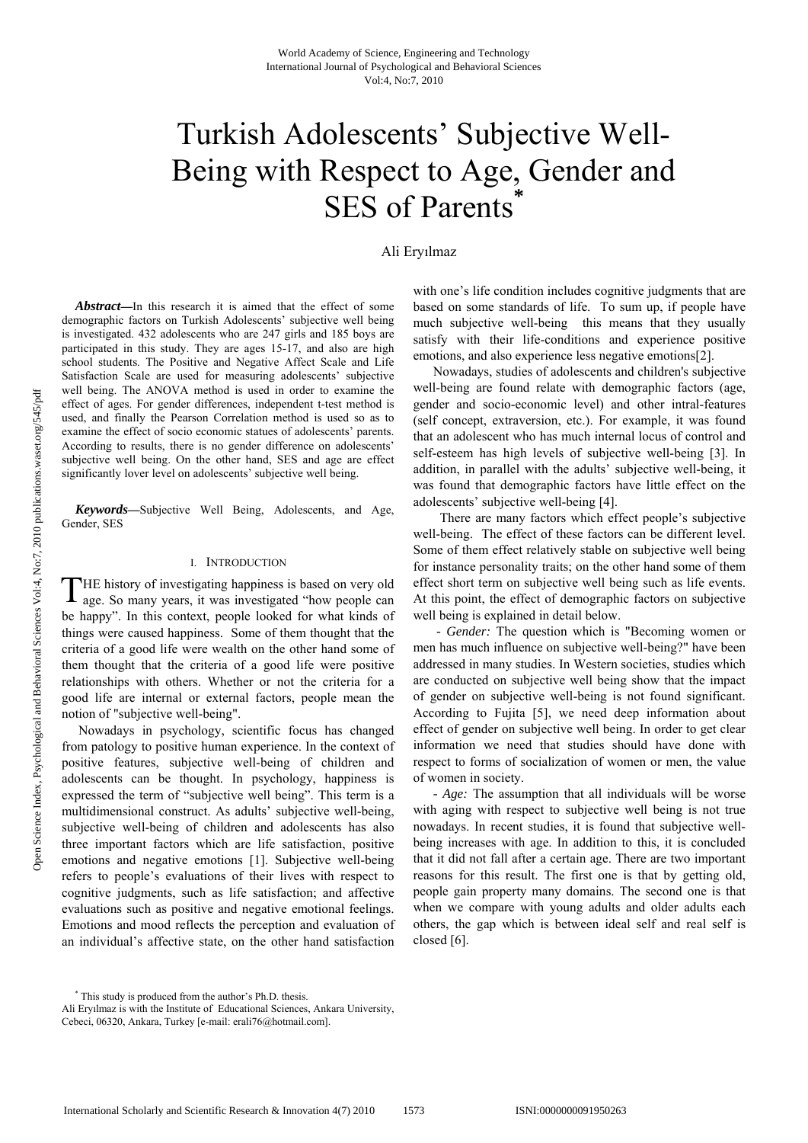# Turkish Adolescents' Subjective Well-Being with Respect to Age, Gender and SES of Parents<sup>\*</sup>

# Ali Eryılmaz

*Abstract***—**In this research it is aimed that the effect of some demographic factors on Turkish Adolescents' subjective well being is investigated. 432 adolescents who are 247 girls and 185 boys are participated in this study. They are ages 15-17, and also are high school students. The Positive and Negative Affect Scale and Life Satisfaction Scale are used for measuring adolescents' subjective well being. The ANOVA method is used in order to examine the effect of ages. For gender differences, independent t-test method is used, and finally the Pearson Correlation method is used so as to examine the effect of socio economic statues of adolescents' parents. According to results, there is no gender difference on adolescents' subjective well being. On the other hand, SES and age are effect significantly lover level on adolescents' subjective well being.

*Keywords—*Subjective Well Being, Adolescents, and Age, Gender, SES

### I. INTRODUCTION

HE history of investigating happiness is based on very old THE history of investigating happiness is based on very old age. So many years, it was investigated "how people can be happy". In this context, people looked for what kinds of things were caused happiness. Some of them thought that the criteria of a good life were wealth on the other hand some of them thought that the criteria of a good life were positive relationships with others. Whether or not the criteria for a good life are internal or external factors, people mean the notion of "subjective well-being".

 Nowadays in psychology, scientific focus has changed from patology to positive human experience. In the context of positive features, subjective well-being of children and adolescents can be thought. In psychology, happiness is expressed the term of "subjective well being". This term is a multidimensional construct. As adults' subjective well-being, subjective well-being of children and adolescents has also three important factors which are life satisfaction, positive emotions and negative emotions [1]. Subjective well-being refers to people's evaluations of their lives with respect to cognitive judgments, such as life satisfaction; and affective evaluations such as positive and negative emotional feelings. Emotions and mood reflects the perception and evaluation of an individual's affective state, on the other hand satisfaction with one's life condition includes cognitive judgments that are based on some standards of life. To sum up, if people have much subjective well-being this means that they usually satisfy with their life-conditions and experience positive emotions, and also experience less negative emotions[2].

 Nowadays, studies of adolescents and children's subjective well-being are found relate with demographic factors (age, gender and socio-economic level) and other intral-features (self concept, extraversion, etc.). For example, it was found that an adolescent who has much internal locus of control and self-esteem has high levels of subjective well-being [3]. In addition, in parallel with the adults' subjective well-being, it was found that demographic factors have little effect on the adolescents' subjective well-being [4].

 There are many factors which effect people's subjective well-being. The effect of these factors can be different level. Some of them effect relatively stable on subjective well being for instance personality traits; on the other hand some of them effect short term on subjective well being such as life events. At this point, the effect of demographic factors on subjective well being is explained in detail below.

 *- Gender:* The question which is "Becoming women or men has much influence on subjective well-being?" have been addressed in many studies. In Western societies, studies which are conducted on subjective well being show that the impact of gender on subjective well-being is not found significant. According to Fujita [5], we need deep information about effect of gender on subjective well being. In order to get clear information we need that studies should have done with respect to forms of socialization of women or men, the value of women in society.

 *- Age:* The assumption that all individuals will be worse with aging with respect to subjective well being is not true nowadays. In recent studies, it is found that subjective wellbeing increases with age. In addition to this, it is concluded that it did not fall after a certain age. There are two important reasons for this result. The first one is that by getting old, people gain property many domains. The second one is that when we compare with young adults and older adults each others, the gap which is between ideal self and real self is closed [6].

<sup>\*</sup> This study is produced from the author's Ph.D. thesis.

Ali Eryılmaz is with the Institute of Educational Sciences, Ankara University, Cebeci, 06320, Ankara, Turkey [e-mail: erali76@hotmail.com].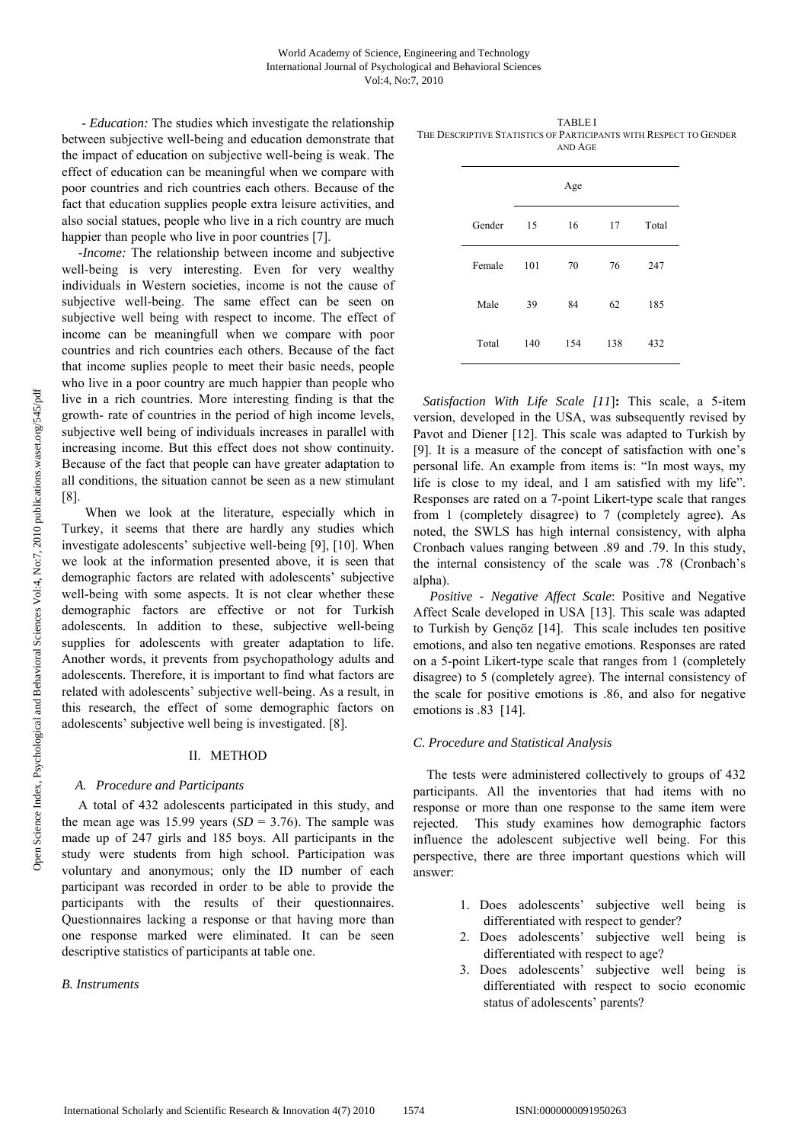*- Education:* The studies which investigate the relationship between subjective well-being and education demonstrate that the impact of education on subjective well-being is weak. The effect of education can be meaningful when we compare with poor countries and rich countries each others. Because of the fact that education supplies people extra leisure activities, and also social statues, people who live in a rich country are much happier than people who live in poor countries [7].

*-Income:* The relationship between income and subjective well-being is very interesting. Even for very wealthy individuals in Western societies, income is not the cause of subjective well-being. The same effect can be seen on subjective well being with respect to income. The effect of income can be meaningfull when we compare with poor countries and rich countries each others. Because of the fact that income suplies people to meet their basic needs, people who live in a poor country are much happier than people who live in a rich countries. More interesting finding is that the growth- rate of countries in the period of high income levels, subjective well being of individuals increases in parallel with increasing income. But this effect does not show continuity. Because of the fact that people can have greater adaptation to all conditions, the situation cannot be seen as a new stimulant [8].

 When we look at the literature, especially which in Turkey, it seems that there are hardly any studies which investigate adolescents' subjective well-being [9], [10]. When we look at the information presented above, it is seen that demographic factors are related with adolescents' subjective well-being with some aspects. It is not clear whether these demographic factors are effective or not for Turkish adolescents. In addition to these, subjective well-being supplies for adolescents with greater adaptation to life. Another words, it prevents from psychopathology adults and adolescents. Therefore, it is important to find what factors are related with adolescents' subjective well-being. As a result, in this research, the effect of some demographic factors on adolescents' subjective well being is investigated. [8].

#### II. METHOD

# *A. Procedure and Participants*

 A total of 432 adolescents participated in this study, and the mean age was 15.99 years  $(SD = 3.76)$ . The sample was made up of 247 girls and 185 boys. All participants in the study were students from high school. Participation was voluntary and anonymous; only the ID number of each participant was recorded in order to be able to provide the participants with the results of their questionnaires. Questionnaires lacking a response or that having more than one response marked were eliminated. It can be seen descriptive statistics of participants at table one.

*B. Instruments* 

TABLE I THE DESCRIPTIVE STATISTICS OF PARTICIPANTS WITH RESPECT TO GENDER AND AGE

|        |     | Age |     |       |
|--------|-----|-----|-----|-------|
| Gender | 15  | 16  | 17  | Total |
| Female | 101 | 70  | 76  | 247   |
| Male   | 39  | 84  | 62  | 185   |
| Total  | 140 | 154 | 138 | 432   |

*Satisfaction With Life Scale [11*]**:** This scale, a 5-item version, developed in the USA, was subsequently revised by Pavot and Diener [12]. This scale was adapted to Turkish by [9]. It is a measure of the concept of satisfaction with one's personal life. An example from items is: "In most ways, my life is close to my ideal, and I am satisfied with my life". Responses are rated on a 7-point Likert-type scale that ranges from 1 (completely disagree) to 7 (completely agree). As noted, the SWLS has high internal consistency, with alpha Cronbach values ranging between .89 and .79. In this study, the internal consistency of the scale was .78 (Cronbach's alpha).

 *Positive - Negative Affect Scale*: Positive and Negative Affect Scale developed in USA [13]. This scale was adapted to Turkish by Gençöz [14]. This scale includes ten positive emotions, and also ten negative emotions. Responses are rated on a 5-point Likert-type scale that ranges from 1 (completely disagree) to 5 (completely agree). The internal consistency of the scale for positive emotions is .86, and also for negative emotions is .83 [14].

### *C. Procedure and Statistical Analysis*

The tests were administered collectively to groups of 432 participants. All the inventories that had items with no response or more than one response to the same item were rejected. This study examines how demographic factors influence the adolescent subjective well being. For this perspective, there are three important questions which will answer:

- 1. Does adolescents' subjective well being is differentiated with respect to gender?
- 2. Does adolescents' subjective well being is differentiated with respect to age?
- 3. Does adolescents' subjective well being is differentiated with respect to socio economic status of adolescents' parents?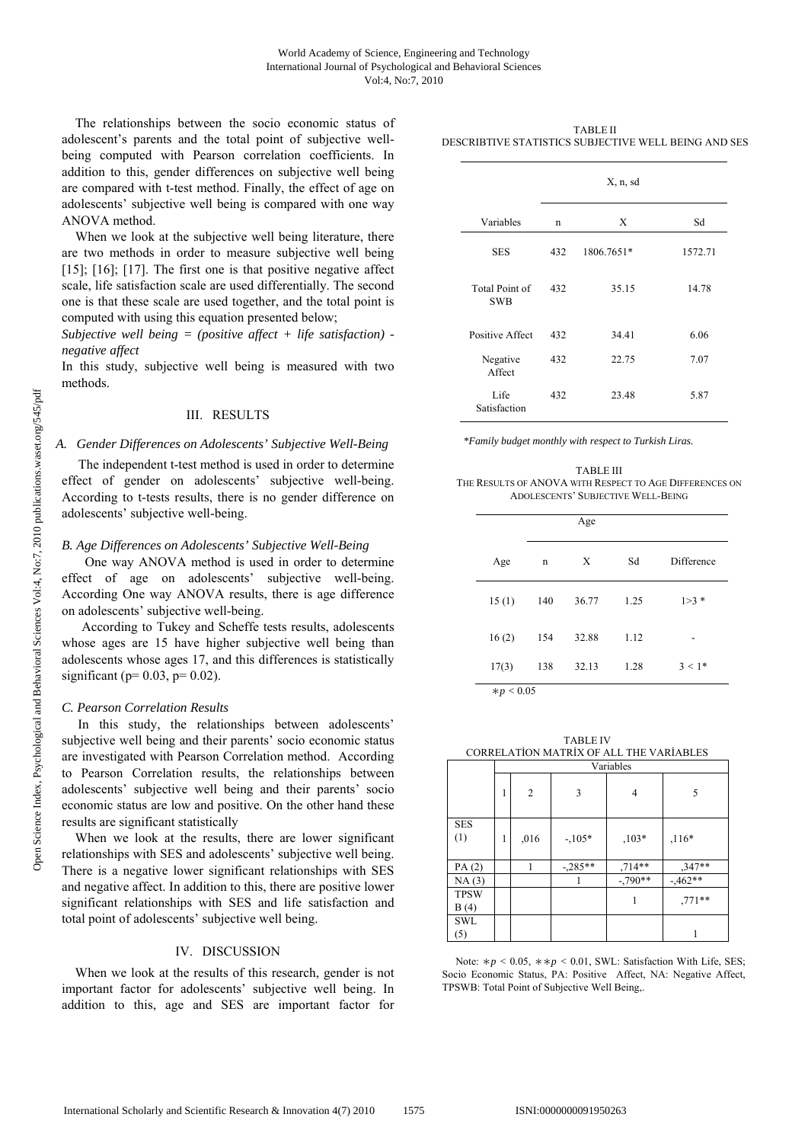The relationships between the socio economic status of adolescent's parents and the total point of subjective wellbeing computed with Pearson correlation coefficients. In addition to this, gender differences on subjective well being are compared with t-test method. Finally, the effect of age on adolescents' subjective well being is compared with one way ANOVA method.

When we look at the subjective well being literature, there are two methods in order to measure subjective well being [15]; [16]; [17]. The first one is that positive negative affect scale, life satisfaction scale are used differentially. The second one is that these scale are used together, and the total point is computed with using this equation presented below;

*Subjective well being = (positive affect + life satisfaction) negative affect* 

In this study, subjective well being is measured with two methods.

### III. RESULTS

#### *A. Gender Differences on Adolescents' Subjective Well-Being*

 The independent t-test method is used in order to determine effect of gender on adolescents' subjective well-being. According to t-tests results, there is no gender difference on adolescents' subjective well-being.

## *B. Age Differences on Adolescents' Subjective Well-Being*

 One way ANOVA method is used in order to determine effect of age on adolescents' subjective well-being. According One way ANOVA results, there is age difference on adolescents' subjective well-being.

 According to Tukey and Scheffe tests results, adolescents whose ages are 15 have higher subjective well being than adolescents whose ages 17, and this differences is statistically significant ( $p= 0.03$ ,  $p= 0.02$ ).

#### *C. Pearson Correlation Results*

 In this study, the relationships between adolescents' subjective well being and their parents' socio economic status are investigated with Pearson Correlation method. According to Pearson Correlation results, the relationships between adolescents' subjective well being and their parents' socio economic status are low and positive. On the other hand these results are significant statistically

 When we look at the results, there are lower significant relationships with SES and adolescents' subjective well being. There is a negative lower significant relationships with SES and negative affect. In addition to this, there are positive lower significant relationships with SES and life satisfaction and total point of adolescents' subjective well being.

## IV. DISCUSSION

When we look at the results of this research, gender is not important factor for adolescents' subjective well being. In addition to this, age and SES are important factor for

TABLE II DESCRIBTIVE STATISTICS SUBJECTIVE WELL BEING AND SES

|                              | X, n, sd |            |         |  |
|------------------------------|----------|------------|---------|--|
| Variables                    | n        | X          | Sd      |  |
| <b>SES</b>                   | 432      | 1806.7651* | 1572.71 |  |
| Total Point of<br><b>SWB</b> | 432      | 35.15      | 14.78   |  |
| Positive Affect              | 432      | 34.41      | 6.06    |  |
| Negative<br>Affect           | 432      | 22.75      | 7.07    |  |
| Life<br>Satisfaction         | 432      | 23.48      | 5.87    |  |

*\*Family budget monthly with respect to Turkish Liras.* 

TABLE III THE RESULTS OF ANOVA WITH RESPECT TO AGE DIFFERENCES ON ADOLESCENTS' SUBJECTIVE WELL-BEING

|              | Age |       |      |            |  |
|--------------|-----|-------|------|------------|--|
| Age          | n   | X     | Sd   | Difference |  |
| 15(1)        | 140 | 36.77 | 1.25 | $1>3*$     |  |
| 16(2)        | 154 | 32.88 | 1.12 |            |  |
| 17(3)        | 138 | 32.13 | 1.28 | $3 < 1*$   |  |
| $* p < 0.05$ |     |       |      |            |  |

TABLE IV CORRELATİON MATRİX OF ALL THE VARİABLES Variables  $1 \ 2 \ 3 \ 1 \ 4 \ 5$ SES  $(1)$  1 ,016  $-.105*$  ,103\* ,116\* PA (2)  $1 \t -,285**$  ,714\*\* ,347\*\* NA (3)  $\vert$  1  $\vert$  -,790\*\*  $\vert$  -,462\*\* TPSW B (4)  $1$  ,771\*\* **SWI** (5) 1

Note: ∗*p <* 0*.*05, ∗∗*p <* 0*.*01, SWL: Satisfaction With Life, SES; Socio Economic Status, PA: Positive Affect, NA: Negative Affect, TPSWB: Total Point of Subjective Well Being,.